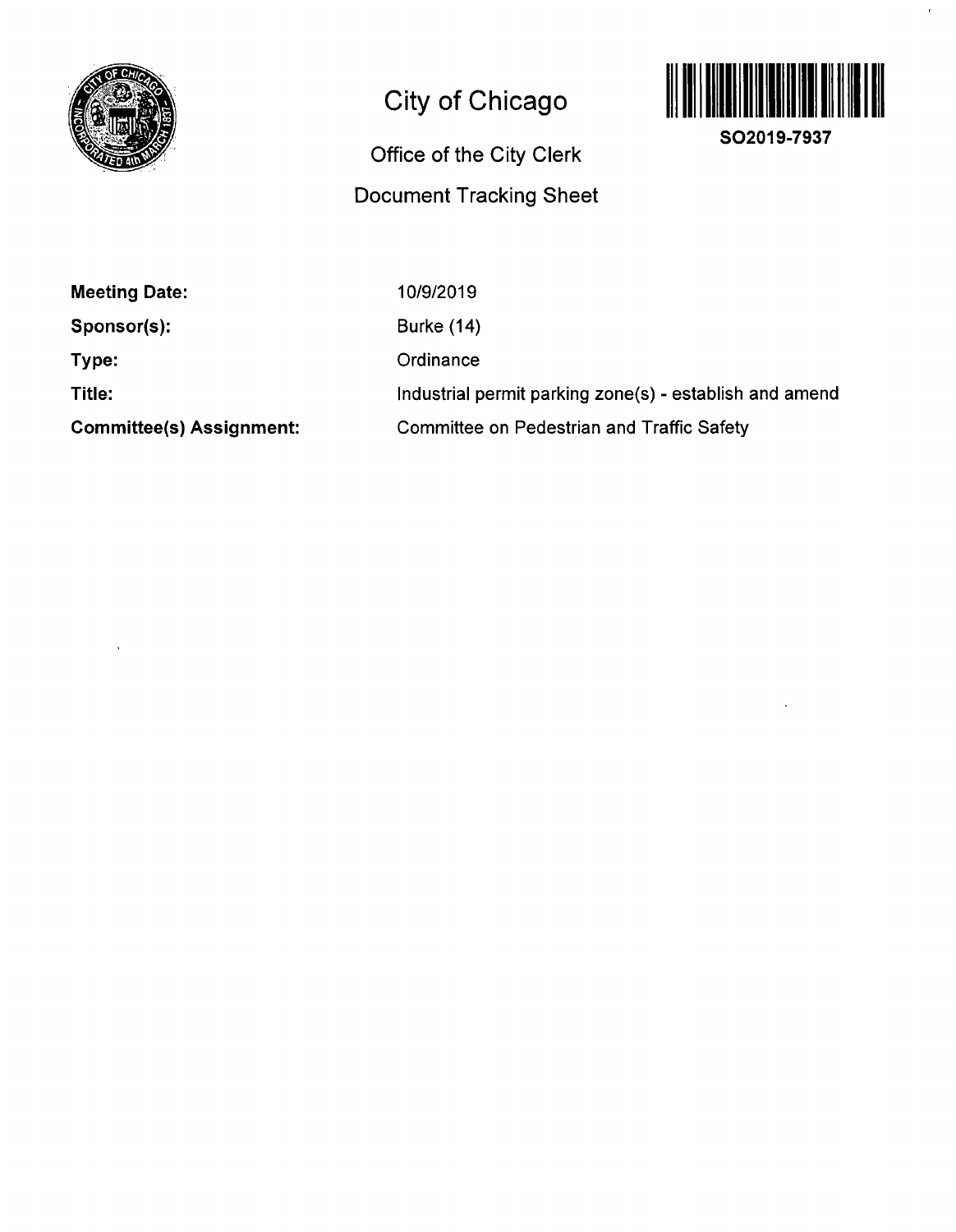

# **City of Chicago**

# **Office of the City Clerk Document Tracking Sheet**



 $\epsilon$ 

**SO2019-7937** 

| <b>Meeting Date:</b>            | 10/9/2019                                               |
|---------------------------------|---------------------------------------------------------|
| Sponsor(s):                     | <b>Burke (14)</b>                                       |
| Type:                           | Ordinance                                               |
| Title:                          | Industrial permit parking zone(s) - establish and amend |
| <b>Committee(s) Assignment:</b> | <b>Committee on Pedestrian and Traffic Safety</b>       |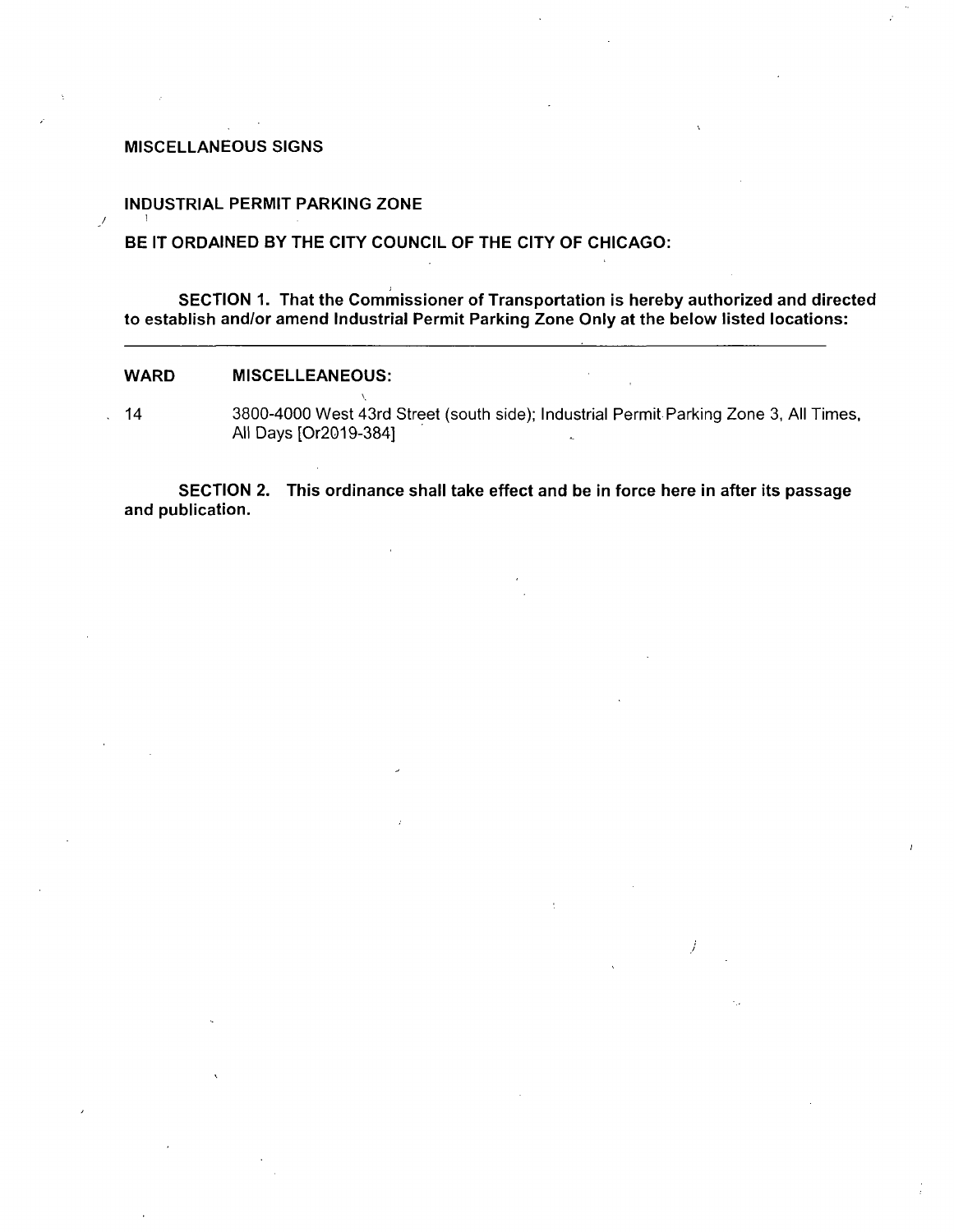#### **MISCELLANEOUS SIGNS**

#### **INDUSTRIAL PERMIT PARKING ZONE**

## **BE IT ORDAINED BY THE CITY COUNCIL OF THE CITY OF CHICAGO:**

**SECTION 1. That the Commissioner of Transportation is hereby authorized and directed**  to establish and/or amend Industrial Permit Parking Zone Only at the below listed locations:

#### **WARD MISCELLEANEOUS:**

 $\overline{\mathscr{N}}$ 

14 3800-4000 West 43rd Street (south side); Industrial Permit Parking Zone 3, All Times, All Days [Or2019-384]

**SECTION 2. This ordinance shall take effect and be in force here in after its passage and publication.**